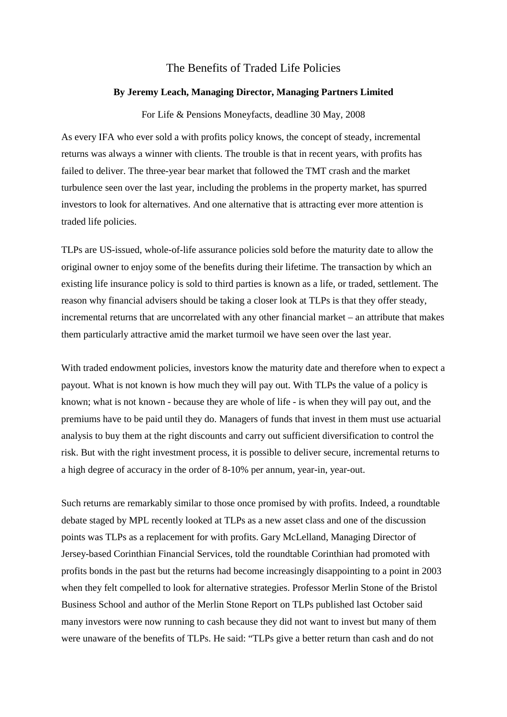## The Benefits of Traded Life Policies

## **By Jeremy Leach, Managing Director, Managing Partners Limited**

For Life & Pensions Moneyfacts, deadline 30 May, 2008

As every IFA who ever sold a with profits policy knows, the concept of steady, incremental returns was always a winner with clients. The trouble is that in recent years, with profits has failed to deliver. The three-year bear market that followed the TMT crash and the market turbulence seen over the last year, including the problems in the property market, has spurred investors to look for alternatives. And one alternative that is attracting ever more attention is traded life policies.

TLPs are US-issued, whole-of-life assurance policies sold before the maturity date to allow the original owner to enjoy some of the benefits during their lifetime. The transaction by which an existing life insurance policy is sold to third parties is known as a life, or traded, settlement. The reason why financial advisers should be taking a closer look at TLPs is that they offer steady, incremental returns that are uncorrelated with any other financial market – an attribute that makes them particularly attractive amid the market turmoil we have seen over the last year.

With traded endowment policies, investors know the maturity date and therefore when to expect a payout. What is not known is how much they will pay out. With TLPs the value of a policy is known; what is not known - because they are whole of life - is when they will pay out, and the premiums have to be paid until they do. Managers of funds that invest in them must use actuarial analysis to buy them at the right discounts and carry out sufficient diversification to control the risk. But with the right investment process, it is possible to deliver secure, incremental returns to a high degree of accuracy in the order of 8-10% per annum, year-in, year-out.

Such returns are remarkably similar to those once promised by with profits. Indeed, a roundtable debate staged by MPL recently looked at TLPs as a new asset class and one of the discussion points was TLPs as a replacement for with profits. Gary McLelland, Managing Director of Jersey-based Corinthian Financial Services, told the roundtable Corinthian had promoted with profits bonds in the past but the returns had become increasingly disappointing to a point in 2003 when they felt compelled to look for alternative strategies. Professor Merlin Stone of the Bristol Business School and author of the Merlin Stone Report on TLPs published last October said many investors were now running to cash because they did not want to invest but many of them were unaware of the benefits of TLPs. He said: "TLPs give a better return than cash and do not